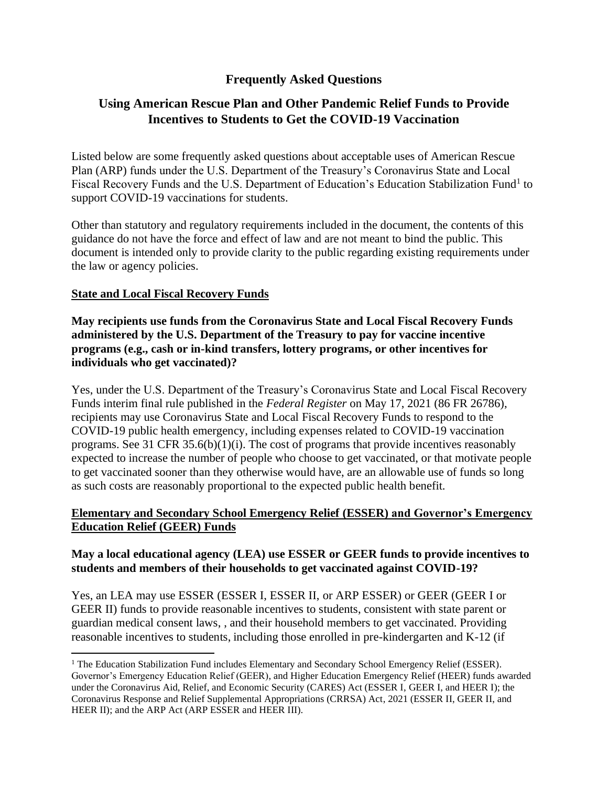## **Frequently Asked Questions**

# **Using American Rescue Plan and Other Pandemic Relief Funds to Provide Incentives to Students to Get the COVID-19 Vaccination**

Listed below are some frequently asked questions about acceptable uses of American Rescue Plan (ARP) funds under the U.S. Department of the Treasury's Coronavirus State and Local Fiscal Recovery Funds and the U.S. Department of Education's Education Stabilization Fund<sup>1</sup> to support COVID-19 vaccinations for students.

Other than statutory and regulatory requirements included in the document, the contents of this guidance do not have the force and effect of law and are not meant to bind the public. This document is intended only to provide clarity to the public regarding existing requirements under the law or agency policies.

### **State and Local Fiscal Recovery Funds**

**May recipients use funds from the Coronavirus State and Local Fiscal Recovery Funds administered by the U.S. Department of the Treasury to pay for vaccine incentive programs (e.g., cash or in-kind transfers, lottery programs, or other incentives for individuals who get vaccinated)?**

Yes, under the U.S. Department of the Treasury's Coronavirus State and Local Fiscal Recovery Funds interim final rule published in the *Federal Register* on May 17, 2021 (86 FR 26786), recipients may use Coronavirus State and Local Fiscal Recovery Funds to respond to the COVID-19 public health emergency, including expenses related to COVID-19 vaccination programs. See 31 CFR 35.6(b)(1)(i). The cost of programs that provide incentives reasonably expected to increase the number of people who choose to get vaccinated, or that motivate people to get vaccinated sooner than they otherwise would have, are an allowable use of funds so long as such costs are reasonably proportional to the expected public health benefit.

### **Elementary and Secondary School Emergency Relief (ESSER) and Governor's Emergency Education Relief (GEER) Funds**

### **May a local educational agency (LEA) use ESSER or GEER funds to provide incentives to students and members of their households to get vaccinated against COVID-19?**

Yes, an LEA may use ESSER (ESSER I, ESSER II, or ARP ESSER) or GEER (GEER I or GEER II) funds to provide reasonable incentives to students, consistent with state parent or guardian medical consent laws, , and their household members to get vaccinated. Providing reasonable incentives to students, including those enrolled in pre-kindergarten and K-12 (if

<sup>&</sup>lt;sup>1</sup> The Education Stabilization Fund includes Elementary and Secondary School Emergency Relief (ESSER). Governor's Emergency Education Relief (GEER), and Higher Education Emergency Relief (HEER) funds awarded under the Coronavirus Aid, Relief, and Economic Security (CARES) Act (ESSER I, GEER I, and HEER I); the Coronavirus Response and Relief Supplemental Appropriations (CRRSA) Act, 2021 (ESSER II, GEER II, and HEER II); and the ARP Act (ARP ESSER and HEER III).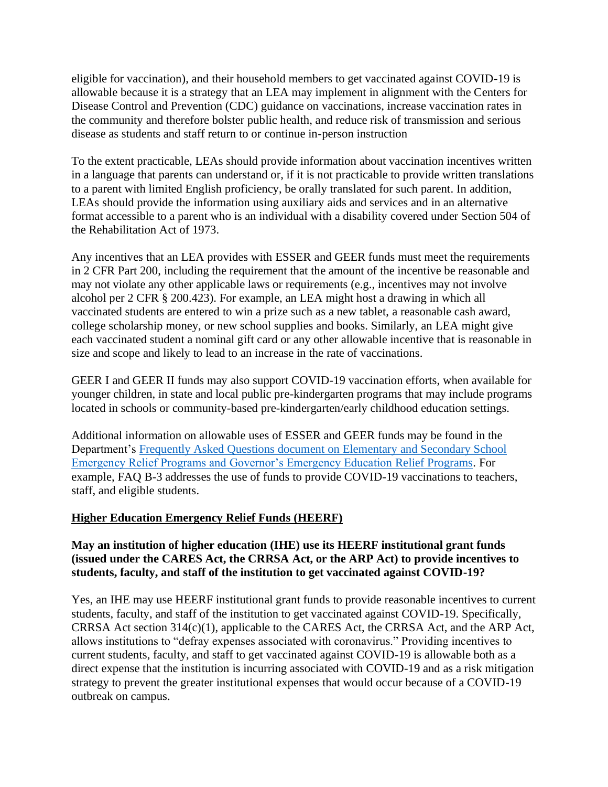eligible for vaccination), and their household members to get vaccinated against COVID-19 is allowable because it is a strategy that an LEA may implement in alignment with the Centers for Disease Control and Prevention (CDC) guidance on vaccinations, increase vaccination rates in the community and therefore bolster public health, and reduce risk of transmission and serious disease as students and staff return to or continue in-person instruction

To the extent practicable, LEAs should provide information about vaccination incentives written in a language that parents can understand or, if it is not practicable to provide written translations to a parent with limited English proficiency, be orally translated for such parent. In addition, LEAs should provide the information using auxiliary aids and services and in an alternative format accessible to a parent who is an individual with a disability covered under Section 504 of the Rehabilitation Act of 1973.

Any incentives that an LEA provides with ESSER and GEER funds must meet the requirements in 2 CFR Part 200, including the requirement that the amount of the incentive be reasonable and may not violate any other applicable laws or requirements (e.g., incentives may not involve alcohol per 2 CFR § 200.423). For example, an LEA might host a drawing in which all vaccinated students are entered to win a prize such as a new tablet, a reasonable cash award, college scholarship money, or new school supplies and books. Similarly, an LEA might give each vaccinated student a nominal gift card or any other allowable incentive that is reasonable in size and scope and likely to lead to an increase in the rate of vaccinations.

GEER I and GEER II funds may also support COVID-19 vaccination efforts, when available for younger children, in state and local public pre-kindergarten programs that may include programs located in schools or community-based pre-kindergarten/early childhood education settings.

Additional information on allowable uses of ESSER and GEER funds may be found in the Department's [Frequently Asked Questions document on Elementary and Secondary School](https://oese.ed.gov/files/2021/05/ESSER.GEER_.FAQs_5.26.21_745AM_FINALb0cd6833f6f46e03ba2d97d30aff953260028045f9ef3b18ea602db4b32b1d99.pdf)  [Emergency Relief Programs and Governor's Emergency Education](https://oese.ed.gov/files/2021/05/ESSER.GEER_.FAQs_5.26.21_745AM_FINALb0cd6833f6f46e03ba2d97d30aff953260028045f9ef3b18ea602db4b32b1d99.pdf) Relief Programs. For example, FAQ B-3 addresses the use of funds to provide COVID-19 vaccinations to teachers, staff, and eligible students.

#### **Higher Education Emergency Relief Funds (HEERF)**

### **May an institution of higher education (IHE) use its HEERF institutional grant funds (issued under the CARES Act, the CRRSA Act, or the ARP Act) to provide incentives to students, faculty, and staff of the institution to get vaccinated against COVID-19?**

Yes, an IHE may use HEERF institutional grant funds to provide reasonable incentives to current students, faculty, and staff of the institution to get vaccinated against COVID-19. Specifically, CRRSA Act section 314(c)(1), applicable to the CARES Act, the CRRSA Act, and the ARP Act, allows institutions to "defray expenses associated with coronavirus." Providing incentives to current students, faculty, and staff to get vaccinated against COVID-19 is allowable both as a direct expense that the institution is incurring associated with COVID-19 and as a risk mitigation strategy to prevent the greater institutional expenses that would occur because of a COVID-19 outbreak on campus.